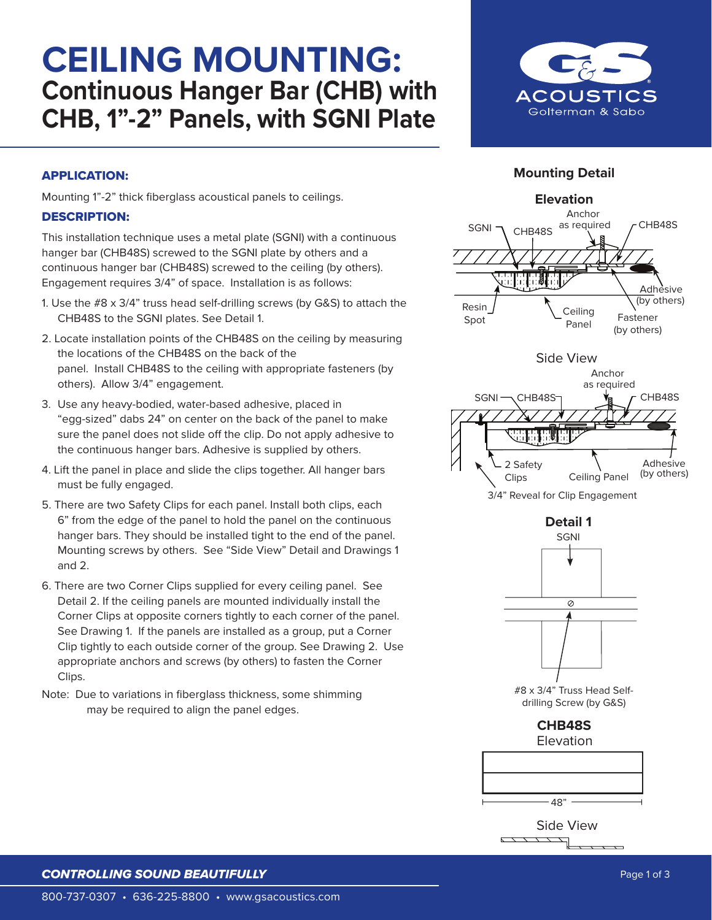# **CEILING MOUNTING: Continuous Hanger Bar (CHB) with CHB, 1"-2" Panels, with SGNI Plate**



### **Mounting Detail**

### APPLICATION:

Mounting 1"-2" thick fiberglass acoustical panels to ceilings.

#### DESCRIPTION:

This installation technique uses a metal plate (SGNI) with a continuous hanger bar (CHB48S) screwed to the SGNI plate by others and a continuous hanger bar (CHB48S) screwed to the ceiling (by others). Engagement requires 3/4" of space. Installation is as follows:

- 1. Use the #8 x 3/4" truss head self-drilling screws (by G&S) to attach the CHB48S to the SGNI plates. See Detail 1.
- 2. Locate installation points of the CHB48S on the ceiling by measuring the locations of the CHB48S on the back of the panel. Install CHB48S to the ceiling with appropriate fasteners (by others). Allow 3/4" engagement.
- 3. Use any heavy-bodied, water-based adhesive, placed in "egg-sized" dabs 24" on center on the back of the panel to make sure the panel does not slide off the clip. Do not apply adhesive to the continuous hanger bars. Adhesive is supplied by others.
- 4. Lift the panel in place and slide the clips together. All hanger bars must be fully engaged.
- 5. There are two Safety Clips for each panel. Install both clips, each 6" from the edge of the panel to hold the panel on the continuous hanger bars. They should be installed tight to the end of the panel. Mounting screws by others. See "Side View" Detail and Drawings 1 and 2.
- 6. There are two Corner Clips supplied for every ceiling panel. See Detail 2. If the ceiling panels are mounted individually install the Corner Clips at opposite corners tightly to each corner of the panel. See Drawing 1. If the panels are installed as a group, put a Corner Clip tightly to each outside corner of the group. See Drawing 2. Use appropriate anchors and screws (by others) to fasten the Corner Clips.
- Note: Due to variations in fiberglass thickness, some shimming may be required to align the panel edges.





48"

Side View

### **CONTROLLING SOUND BEAUTIFULLY Page 1 of 3** and 2 of 3 and 2 of 3 and 2 of 3 and 2 of 3 and 2 of 3 and 3 and 3 and 4 of 3 and 4 of 3 and 4 of 3 and 4 of 3 and 4 of 3 and 4 of 3 and 4 of 3 and 4 of 3 and 4 of 3 and 4 of 3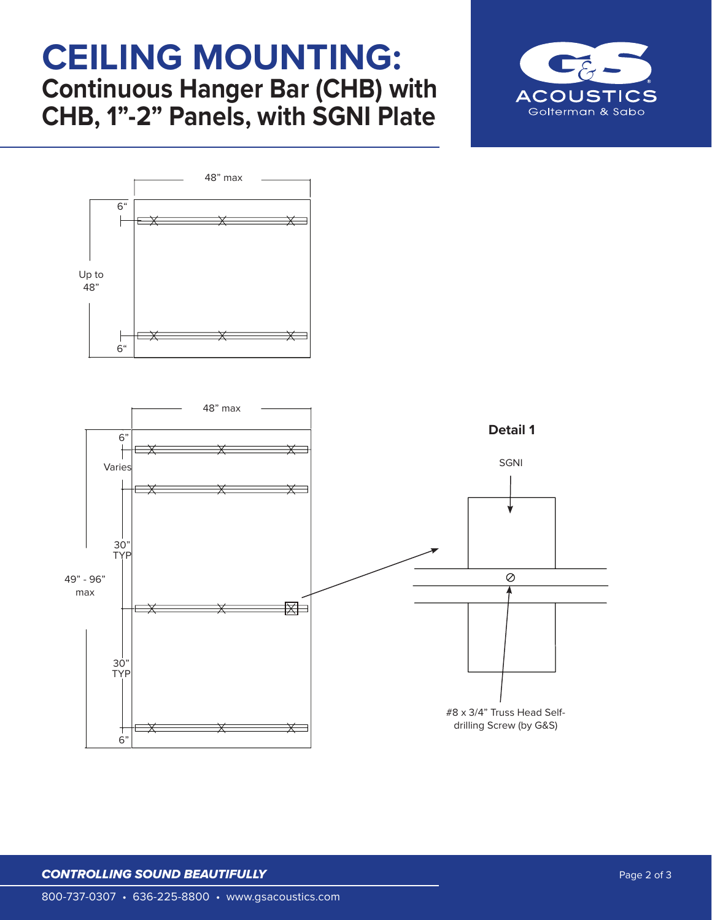## **CEILING MOUNTING: Continuous Hanger Bar (CHB) with CHB, 1"-2" Panels, with SGNI Plate**